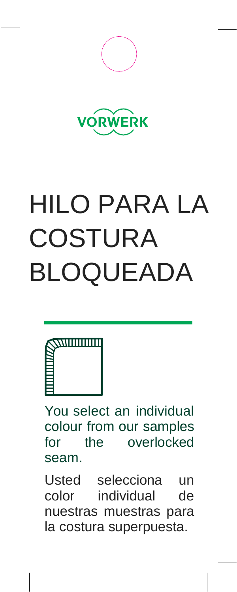



# HILO PARA LA COSTURA BLOQUEADA



You select an individual colour from our samples for the overlocked seam.

Usted selecciona un color individual de nuestras muestras para la costura superpuesta.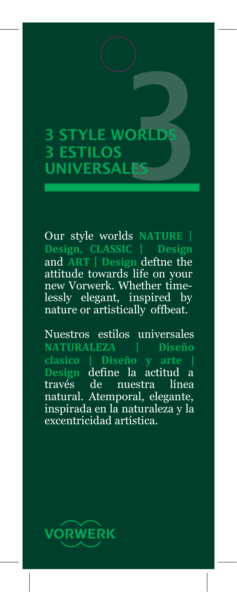# 3 STYLE WORLDS 3 <mark>ESTILOS</mark><br>UNIVERSAI 3 STYLE WORLDS<br>3 ESTILOS<br>UNIVERSALES

Our style worlds **NATURE | Design, CLASSIC | Design**  and **ART | Design** deftne the attitude towards life on your new Vorwerk. Whether timelessly elegant, inspired by nature or artistically offbeat.

Nuestros estilos universales **NATURALEZA | Diseño Design**  define la actitud a través de nuestra línea natural. Atemporal, elegante, inspirada en la naturaleza y la excentricidad artística.

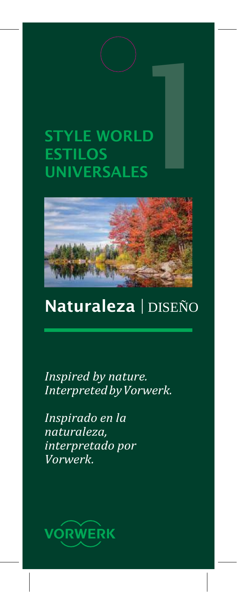## STYLE WORLD ESTILOS UNIVERSALES |<br>|<br>|<br>|<br>|<br>|<br>|<br>|



#### Naturaleza | DISEÑO

*Inspired by nature. InterpretedbyVorwerk.*

*Inspirado en la naturaleza, interpretado por Vorwerk.*

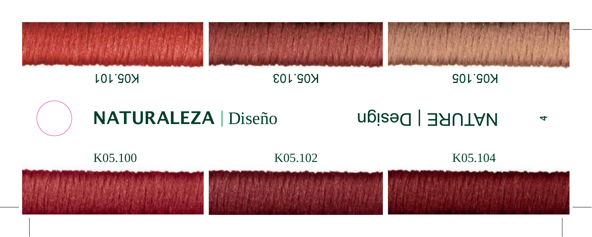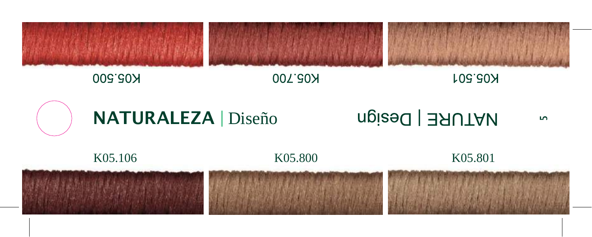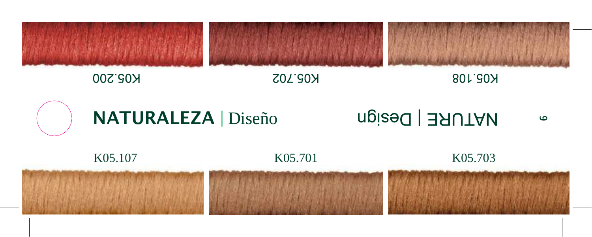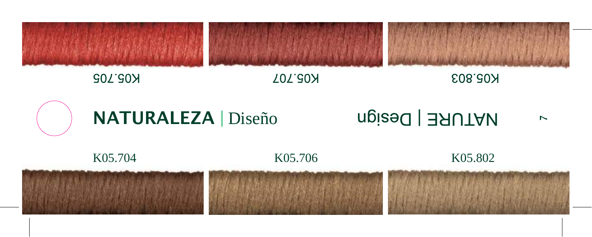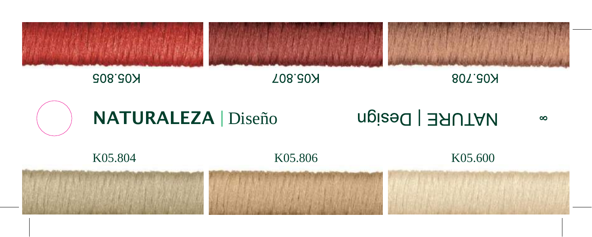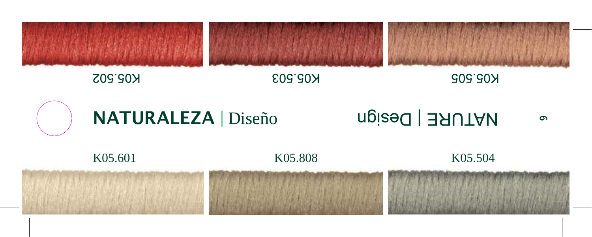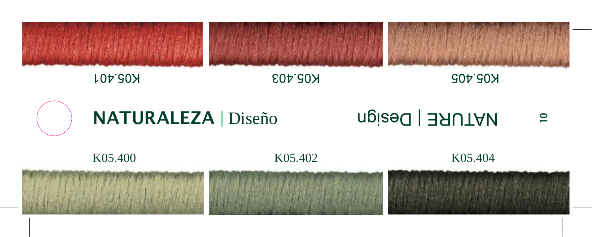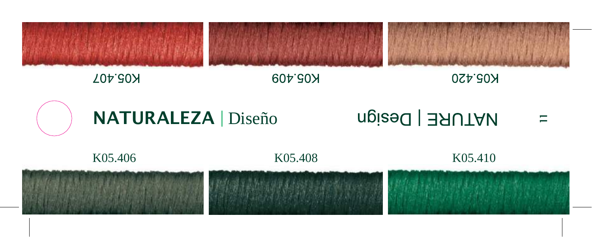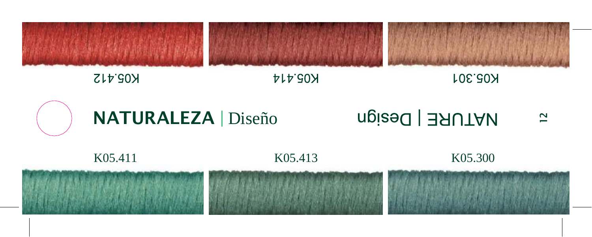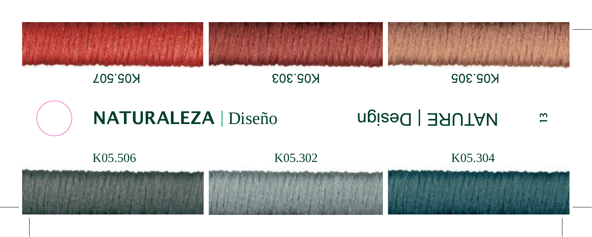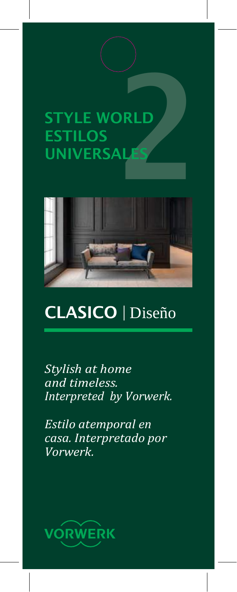



### CLASICO | Diseño

*Stylish at home and timeless. Interpreted by Vorwerk.*

*Estilo atemporal en casa. Interpretado por Vorwerk.*

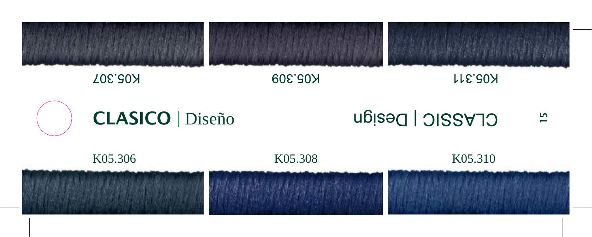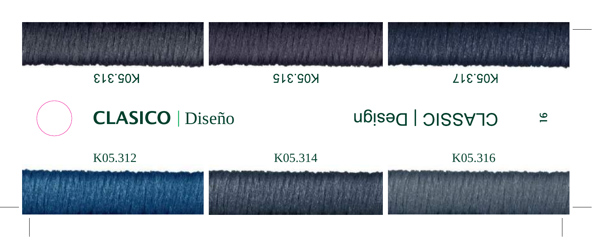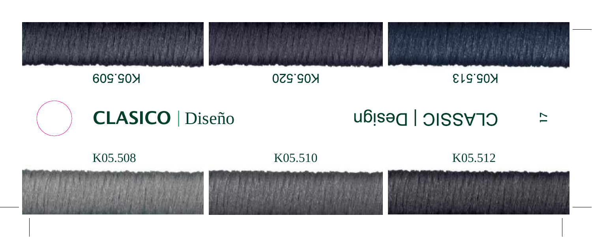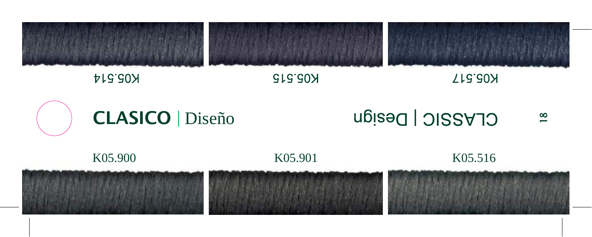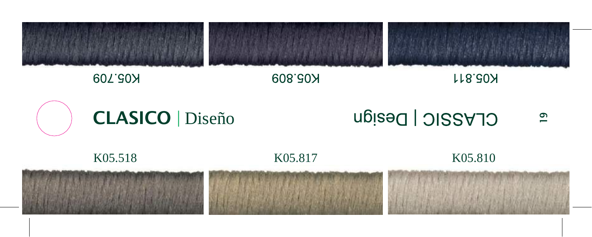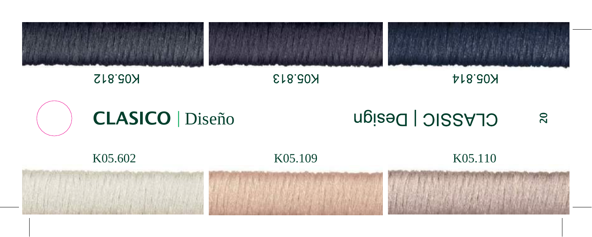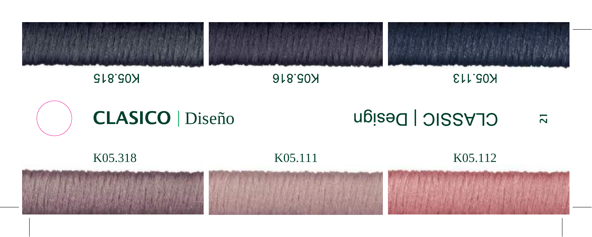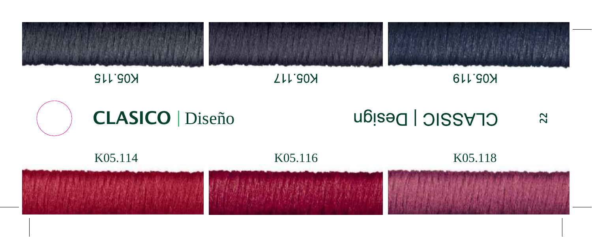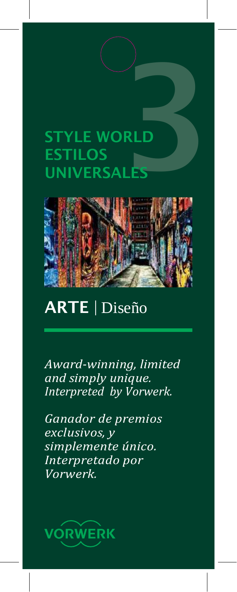# **STYLE WORLD** ESTILOS STYLE WORLD



#### ART E | Diseño

*Award -winning, limited and simply unique. Interpreted by Vorwerk.*

*Ganador de premios exclusivos, y simplemente único. Interpretado por Vorwerk.*

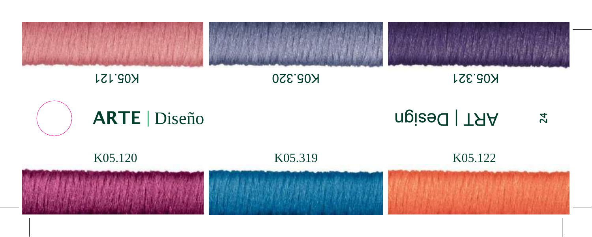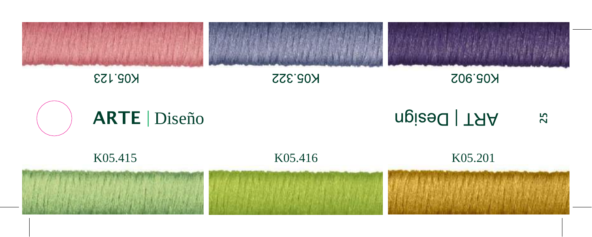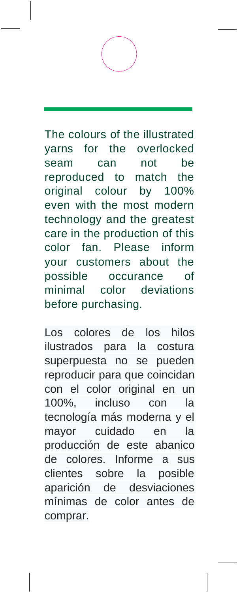The colours of the illustrated yarns for the overlocked seam can not be reproduced to match the original colour by 100% even with the most modern technology and the greatest care in the production of this color fan. Please inform your customers about the possible occurance of minimal color deviations before purchasing.

Los colores de los hilos ilustrados para la costura superpuesta no se pueden reproducir para que coincidan con el color original en un 100%, incluso con la tecnología más moderna y el mayor cuidado en la producción de este abanico de colores. Informe a sus clientes sobre la posible aparición de desviaciones mínimas de color antes de comprar.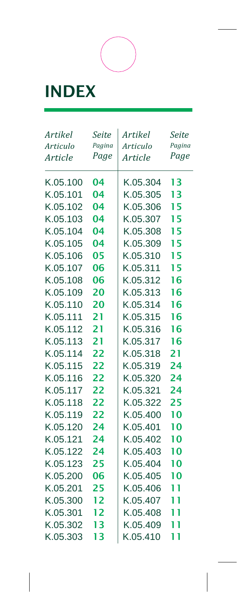## INDEX

| Artikel  | Seite  | Artikel  | Seite             |
|----------|--------|----------|-------------------|
| Articulo | Pagina | Articulo | Pagina            |
| Article  | Page   | Article  | Page              |
| K.05.100 | 04     | K.05.304 | 13                |
| K.05.101 | 04     | K.05.305 | 13                |
| K.05.102 | 04     | K.05.306 | 15                |
| K.05.103 | 04     | K.05.307 | 15                |
| K.05.104 | 04     | K.05.308 | 15                |
| K.05.105 | 04     | K.05.309 | 15                |
| K.05.106 | 05     | K.05.310 | 15                |
| K.05.107 | 06     | K.05.311 | 15                |
| K.05.108 | 06     | K.05.312 | 16                |
| K.05.109 | 20     | K.05.313 | 16                |
| K.05.110 | 20     | K.05.314 | 16                |
| K.05.111 | 21     | K.05.315 | 16                |
| K.05.112 | 21     | K.05.316 | 16                |
| K.05.113 | 21     | K.05.317 | 16                |
| K.05.114 | 22     | K.05.318 | 21                |
| K.05.115 | 22     | K.05.319 | 24                |
| K.05.116 | 22     | K.05.320 | 24                |
| K.05.117 | 22     | K.05.321 | 24                |
| K.05.118 | 22     | K.05.322 | 25                |
| K.05.119 | 22     | K.05.400 | 10                |
| K.05.120 | 24     | K.05.401 | 10                |
| K.05.121 | 24     | K.05.402 | 10                |
| K.05.122 | 24     | K.05.403 | 10                |
| K.05.123 | 25     | K.05.404 | 10                |
| K.05.200 | 06     | K.05.405 | 10                |
| K.05.201 | 25     | K.05.406 | 11                |
| K.05.300 | 12     | K.05.407 | 11                |
| K.05.301 | 12     | K.05.408 | 11                |
| K.05.302 | 13     | K.05.409 | $\mathbf{I}$<br>1 |
| K.05.303 | 13     | K.05.410 | 11                |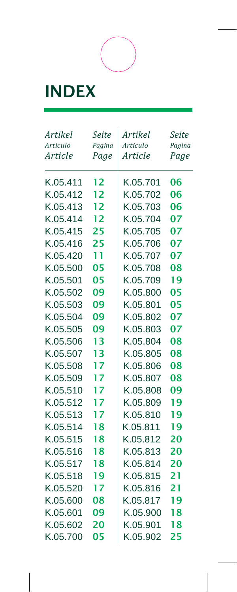## INDEX

| Artikel         | Seite  | Artikel  | Seite  |
|-----------------|--------|----------|--------|
| <b>Articulo</b> | Pagina | Articulo | Pagina |
| Article         | Page   | Article  | Page   |
| K.05.411        | 12     | K.05.701 | 06     |
| K.05.412        | 12     | K.05.702 | 06     |
| K.05.413        | 12     | K.05.703 | 06     |
| K.05.414        | 12     | K.05.704 | 07     |
| K.05.415        | 25     | K.05.705 | 07     |
| K.05.416        | 25     | K.05.706 | 07     |
| K.05.420        | 11     | K.05.707 | 07     |
| K.05.500        | 05     | K.05.708 | 08     |
| K.05.501        | 05     | K.05.709 | 19     |
| K.05.502        | 09     | K.05.800 | 05     |
| K.05.503        | 09     | K.05.801 | 05     |
| K.05.504        | 09     | K.05.802 | 07     |
| K.05.505        | 09     | K.05.803 | 07     |
| K.05.506        | 13     | K.05.804 | 08     |
| K.05.507        | 13     | K.05.805 | 08     |
| K.05.508        | 17     | K.05.806 | 08     |
| K.05.509        | 17     | K.05.807 | 08     |
| K.05.510        | 17     | K.05.808 | 09     |
| K.05.512        | 17     | K.05.809 | 19     |
| K.05.513        | 17     | K.05.810 | 19     |
| K.05.514        | 18     | K.05.811 | 19     |
| K.05.515        | 18     | K.05.812 | 20     |
| K.05.516        | 18     | K.05.813 | 20     |
| K.05.517        | 18     | K.05.814 | 20     |
| K.05.518        | 19     | K.05.815 | 21     |
| K.05.520        | 17     | K.05.816 | 21     |
| K.05.600        | 08     | K.05.817 | 19     |
| K.05.601        | 09     | K.05.900 | 18     |
| K.05.602        | 20     | K.05.901 | 18     |
| K.05.700        | 05     | K.05.902 | 25     |